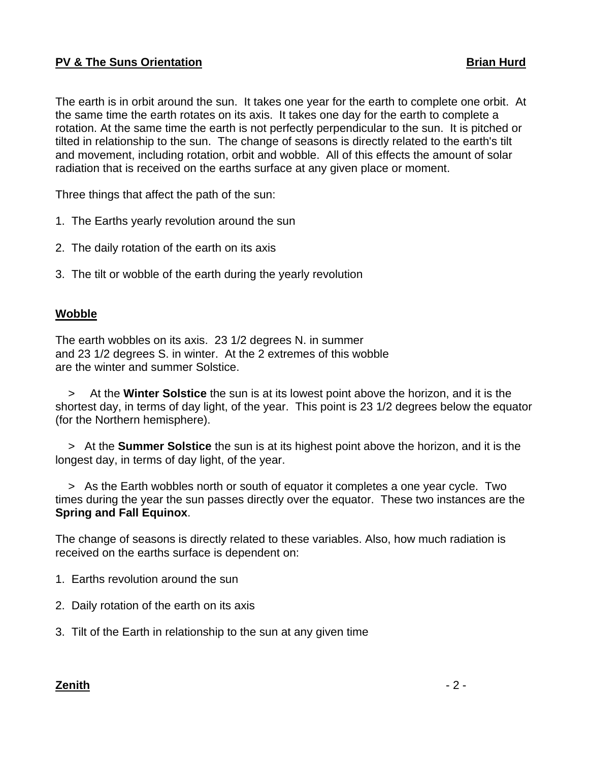## **PV & The Suns Orientation Brian Hurd**

The earth is in orbit around the sun. It takes one year for the earth to complete one orbit. At the same time the earth rotates on its axis. It takes one day for the earth to complete a rotation. At the same time the earth is not perfectly perpendicular to the sun. It is pitched or tilted in relationship to the sun. The change of seasons is directly related to the earth's tilt and movement, including rotation, orbit and wobble. All of this effects the amount of solar radiation that is received on the earths surface at any given place or moment.

Three things that affect the path of the sun:

- 1. The Earths yearly revolution around the sun
- 2. The daily rotation of the earth on its axis
- 3. The tilt or wobble of the earth during the yearly revolution

## **Wobble**

The earth wobbles on its axis. 23 1/2 degrees N. in summer and 23 1/2 degrees S. in winter. At the 2 extremes of this wobble are the winter and summer Solstice.

 > At the **Winter Solstice** the sun is at its lowest point above the horizon, and it is the shortest day, in terms of day light, of the year. This point is 23 1/2 degrees below the equator (for the Northern hemisphere).

 > At the **Summer Solstice** the sun is at its highest point above the horizon, and it is the longest day, in terms of day light, of the year.

 > As the Earth wobbles north or south of equator it completes a one year cycle. Two times during the year the sun passes directly over the equator. These two instances are the **Spring and Fall Equinox**.

The change of seasons is directly related to these variables. Also, how much radiation is received on the earths surface is dependent on:

1. Earths revolution around the sun

- 2. Daily rotation of the earth on its axis
- 3. Tilt of the Earth in relationship to the sun at any given time

## **Zenith** - 2 -